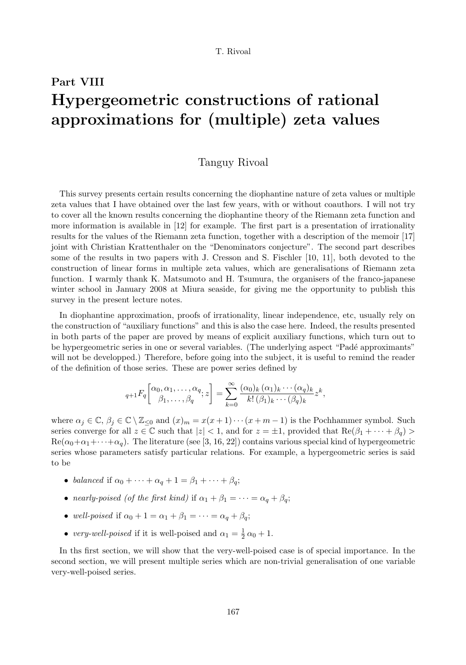# Part VIII Hypergeometric constructions of rational approximations for (multiple) zeta values

# Tanguy Rivoal

This survey presents certain results concerning the diophantine nature of zeta values or multiple zeta values that I have obtained over the last few years, with or without coauthors. I will not try to cover all the known results concerning the diophantine theory of the Riemann zeta function and more information is available in [12] for example. The first part is a presentation of irrationality results for the values of the Riemann zeta function, together with a description of the memoir [17] joint with Christian Krattenthaler on the "Denominators conjecture". The second part describes some of the results in two papers with J. Cresson and S. Fischler [10, 11], both devoted to the construction of linear forms in multiple zeta values, which are generalisations of Riemann zeta function. I warmly thank K. Matsumoto and H. Tsumura, the organisers of the franco-japanese winter school in January 2008 at Miura seaside, for giving me the opportunity to publish this survey in the present lecture notes.

In diophantine approximation, proofs of irrationality, linear independence, etc, usually rely on the construction of "auxiliary functions" and this is also the case here. Indeed, the results presented in both parts of the paper are proved by means of explicit auxiliary functions, which turn out to be hypergeometric series in one or several variables. (The underlying aspect "Padé approximants" will not be developped.) Therefore, before going into the subject, it is useful to remind the reader of the definition of those series. These are power series defined by

$$
{}_{q+1}F_q\left[\begin{matrix}\alpha_0,\alpha_1,\ldots,\alpha_q\\ \beta_1,\ldots,\beta_q\end{matrix};z\right] = \sum_{k=0}^{\infty} \frac{(\alpha_0)_k(\alpha_1)_k\cdots(\alpha_q)_k}{k!(\beta_1)_k\cdots(\beta_q)_k} z^k,
$$

where  $\alpha_j \in \mathbb{C}, \beta_j \in \mathbb{C} \setminus \mathbb{Z}_{\leq 0}$  and  $(x)_m = x(x+1)\cdots(x+m-1)$  is the Pochhammer symbol. Such series converge for all  $z \in \mathbb{C}$  such that  $|z| < 1$ , and for  $z = \pm 1$ , provided that  $\text{Re}(\beta_1 + \cdots + \beta_q)$  $\text{Re}(\alpha_0+\alpha_1+\cdots+\alpha_q)$ . The literature (see [3, 16, 22]) contains various special kind of hypergeometric series whose parameters satisfy particular relations. For example, a hypergeometric series is said to be

- balanced if  $\alpha_0 + \cdots + \alpha_q + 1 = \beta_1 + \cdots + \beta_q;$
- nearly-poised (of the first kind) if  $\alpha_1 + \beta_1 = \cdots = \alpha_q + \beta_q$ ;
- well-poised if  $\alpha_0 + 1 = \alpha_1 + \beta_1 = \cdots = \alpha_q + \beta_q;$
- very-well-poised if it is well-poised and  $\alpha_1 = \frac{1}{2} \alpha_0 + 1$ .

In ths first section, we will show that the very-well-poised case is of special importance. In the second section, we will present multiple series which are non-trivial generalisation of one variable very-well-poised series.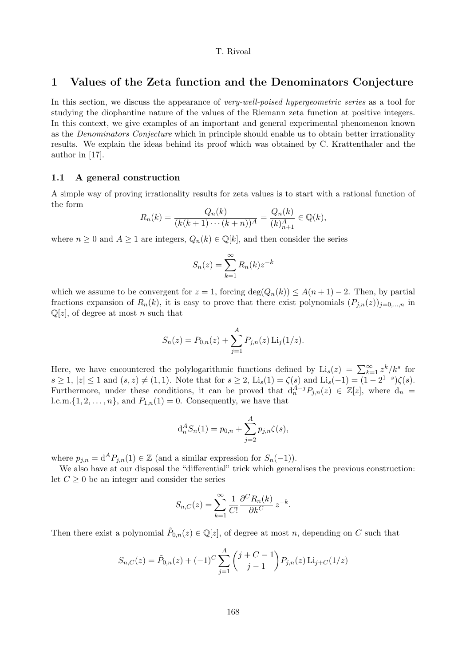# 1 Values of the Zeta function and the Denominators Conjecture

In this section, we discuss the appearance of *very-well-poised hypergeometric series* as a tool for studying the diophantine nature of the values of the Riemann zeta function at positive integers. In this context, we give examples of an important and general experimental phenomenon known as the Denominators Conjecture which in principle should enable us to obtain better irrationality results. We explain the ideas behind its proof which was obtained by C. Krattenthaler and the author in [17].

#### 1.1 A general construction

A simple way of proving irrationality results for zeta values is to start with a rational function of the form

$$
R_n(k) = \frac{Q_n(k)}{(k(k+1)\cdots(k+n))^A} = \frac{Q_n(k)}{(k)_{n+1}^A} \in \mathbb{Q}(k),
$$

where  $n \geq 0$  and  $A \geq 1$  are integers,  $Q_n(k) \in \mathbb{Q}[k]$ , and then consider the series

$$
S_n(z) = \sum_{k=1}^{\infty} R_n(k) z^{-k}
$$

which we assume to be convergent for  $z = 1$ , forcing  $\deg(Q_n(k)) \leq A(n+1) - 2$ . Then, by partial fractions expansion of  $R_n(k)$ , it is easy to prove that there exist polynomials  $(P_{i,n}(z))_{i=0,\dots,n}$  in  $\mathbb{Q}[z]$ , of degree at most *n* such that

$$
S_n(z) = P_{0,n}(z) + \sum_{j=1}^{A} P_{j,n}(z) \operatorname{Li}_j(1/z).
$$

Here, we have encountered the polylogarithmic functions defined by  $\text{Li}_s(z) = \sum_{k=1}^{\infty} z^k / k^s$  for  $s \ge 1, |z| \le 1$  and  $(s, z) \ne (1, 1)$ . Note that for  $s \ge 2$ ,  $\text{Li}_s(1) = \zeta(s)$  and  $\text{Li}_s(-1) = (1 - 2^{1-s})\zeta(s)$ . Furthermore, under these conditions, it can be proved that  $d_n^{A-j}P_{j,n}(z) \in \mathbb{Z}[z]$ , where  $d_n =$ l.c.m. $\{1, 2, \ldots, n\}$ , and  $P_{1,n}(1) = 0$ . Consequently, we have that

$$
d_n^A S_n(1) = p_{0,n} + \sum_{j=2}^A p_{j,n} \zeta(s),
$$

where  $p_{j,n} = d^A P_{j,n}(1) \in \mathbb{Z}$  (and a similar expression for  $S_n(-1)$ ).

We also have at our disposal the "differential" trick which generalises the previous construction: let  $C \geq 0$  be an integer and consider the series

$$
S_{n,C}(z) = \sum_{k=1}^{\infty} \frac{1}{C!} \frac{\partial^C R_n(k)}{\partial k^C} z^{-k}.
$$

Then there exist a polynomial  $\tilde{P}_{0,n}(z) \in \mathbb{Q}[z]$ , of degree at most n, depending on C such that

$$
S_{n,C}(z) = \tilde{P}_{0,n}(z) + (-1)^C \sum_{j=1}^{A} {j + C - 1 \choose j-1} P_{j,n}(z) \operatorname{Li}_{j+C}(1/z)
$$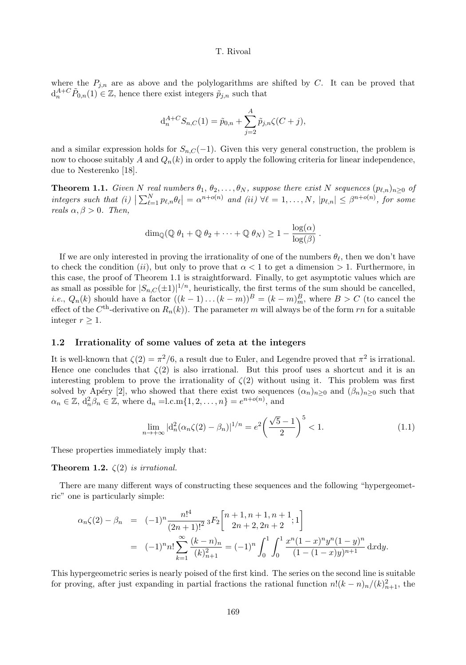where the  $P_{j,n}$  are as above and the polylogarithms are shifted by C. It can be proved that  $d_n^{A+C} \tilde{P}_{0,n}(1) \in \mathbb{Z}$ , hence there exist integers  $\tilde{p}_{j,n}$  such that

$$
d_n^{A+C} S_{n,C}(1) = \tilde{p}_{0,n} + \sum_{j=2}^A \tilde{p}_{j,n} \zeta(C+j),
$$

and a similar expression holds for  $S_{n,C}(-1)$ . Given this very general construction, the problem is now to choose suitably A and  $Q_n(k)$  in order to apply the following criteria for linear independence, due to Nesterenko [18].

**Theorem 1.1.** Given N real numbers  $\theta_1, \theta_2, \ldots, \theta_N$ , suppose there exist N sequences  $(p_{\ell,n})_{n\geq 0}$  of integers such that  $(i) \left| \sum_{\ell=1}^{N} p_{\ell,n} \theta_{\ell} \right| = \alpha^{n+o(n)}$  and  $(ii) \forall \ell = 1,\ldots,N, |p_{\ell,n}| \leq \beta^{n+o(n)}$ , for some reals  $\alpha, \beta > 0$ . Then,

$$
\dim_{\mathbb{Q}}(\mathbb{Q} \theta_1 + \mathbb{Q} \theta_2 + \dots + \mathbb{Q} \theta_N) \ge 1 - \frac{\log(\alpha)}{\log(\beta)}
$$

If we are only interested in proving the irrationality of one of the numbers  $\theta_{\ell}$ , then we don't have to check the condition (ii), but only to prove that  $\alpha < 1$  to get a dimension  $> 1$ . Furthermore, in this case, the proof of Theorem 1.1 is straightforward. Finally, to get asymptotic values which are as small as possible for  $|S_{n,C}(\pm 1)|^{1/n}$ , heuristically, the first terms of the sum should be cancelled, *i.e.*,  $Q_n(k)$  should have a factor  $((k-1)...(k-m))^B = (k-m)_m^B$ , where  $B > C$  (to cancel the effect of the  $C<sup>th</sup>$ -derivative on  $R_n(k)$ ). The parameter m will always be of the form rn for a suitable integer  $r \geq 1$ .

# 1.2 Irrationality of some values of zeta at the integers

It is well-known that  $\zeta(2) = \pi^2/6$ , a result due to Euler, and Legendre proved that  $\pi^2$  is irrational. Hence one concludes that  $\zeta(2)$  is also irrational. But this proof uses a shortcut and it is an interesting problem to prove the irrationality of  $\zeta(2)$  without using it. This problem was first solved by Apéry [2], who showed that there exist two sequences  $(\alpha_n)_{n\geq 0}$  and  $(\beta_n)_{n\geq 0}$  such that  $\alpha_n \in \mathbb{Z}, d_n^2 \beta_n \in \mathbb{Z}$ , where  $d_n = l.c.m\{1, 2, \dots, n\} = e^{n+o(n)}$ , and

$$
\lim_{n \to +\infty} |d_n^2(\alpha_n \zeta(2) - \beta_n)|^{1/n} = e^2 \left(\frac{\sqrt{5} - 1}{2}\right)^5 < 1.
$$
\n(1.1)

.

These properties immediately imply that:

**Theorem 1.2.**  $\zeta(2)$  is irrational.

There are many different ways of constructing these sequences and the following "hypergeometric" one is particularly simple:

$$
\alpha_n \zeta(2) - \beta_n = (-1)^n \frac{n!^4}{(2n+1)!^2} {}_3F_2 \left[ \begin{array}{c} n+1, n+1, n+1, n+1 \\ 2n+2, 2n+2 \end{array} ; 1 \right]
$$
  
= 
$$
(-1)^n n! \sum_{k=1}^{\infty} \frac{(k-n)_n}{(k)_{n+1}^2} = (-1)^n \int_0^1 \int_0^1 \frac{x^n (1-x)^n y^n (1-y)^n}{(1-(1-x)y)^{n+1}} dx dy.
$$

This hypergeometric series is nearly poised of the first kind. The series on the second line is suitable for proving, after just expanding in partial fractions the rational function  $n!(k-n)_n/(k)_{n+1}^2$ , the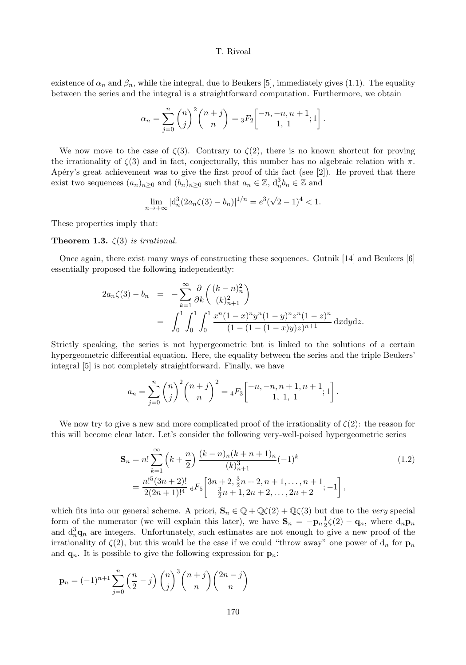existence of  $\alpha_n$  and  $\beta_n$ , while the integral, due to Beukers [5], immediately gives (1.1). The equality between the series and the integral is a straightforward computation. Furthermore, we obtain

$$
\alpha_n = \sum_{j=0}^n \binom{n}{j}^2 \binom{n+j}{n} = {}_3F_2 \begin{bmatrix} -n, -n, n+1 \\ 1, 1 \end{bmatrix}.
$$

We now move to the case of  $\zeta(3)$ . Contrary to  $\zeta(2)$ , there is no known shortcut for proving the irrationality of  $\zeta(3)$  and in fact, conjecturally, this number has no algebraic relation with  $\pi$ . Apéry's great achievement was to give the first proof of this fact (see  $[2]$ ). He proved that there exist two sequences  $(a_n)_{n\geq 0}$  and  $(b_n)_{n\geq 0}$  such that  $a_n \in \mathbb{Z}$ ,  $d_n^3 b_n \in \mathbb{Z}$  and

$$
\lim_{n \to +\infty} |d_n^3(2a_n\zeta(3) - b_n)|^{1/n} = e^3(\sqrt{2} - 1)^4 < 1.
$$

These properties imply that:

**Theorem 1.3.**  $\zeta(3)$  is irrational.

Once again, there exist many ways of constructing these sequences. Gutnik [14] and Beukers [6] essentially proposed the following independently:

$$
2a_n \zeta(3) - b_n = -\sum_{k=1}^{\infty} \frac{\partial}{\partial k} \left( \frac{(k-n)_n^2}{(k)_{n+1}^2} \right)
$$
  
= 
$$
\int_0^1 \int_0^1 \int_0^1 \frac{x^n (1-x)^n y^n (1-y)^n z^n (1-z)^n}{(1-(1-(1-x)y)z)^{n+1}} dxdydz.
$$

Strictly speaking, the series is not hypergeometric but is linked to the solutions of a certain hypergeometric differential equation. Here, the equality between the series and the triple Beukers' integral [5] is not completely straightforward. Finally, we have

$$
a_n = \sum_{j=0}^n \binom{n}{j}^2 \binom{n+j}{n}^2 = {}_4F_3 \left[ \begin{matrix} -n, -n, n+1, n+1 \\ 1, 1, 1 \end{matrix} ; 1 \right].
$$

We now try to give a new and more complicated proof of the irrationality of  $\zeta(2)$ : the reason for this will become clear later. Let's consider the following very-well-poised hypergeometric series

$$
\mathbf{S}_n = n! \sum_{k=1}^{\infty} \left( k + \frac{n}{2} \right) \frac{(k-n)_n (k+n+1)_n}{(k)_{n+1}^3} (-1)^k
$$
\n
$$
= \frac{n!^5 (3n+2)!}{2(2n+1)!^4} {}_6F_5 \left[ \frac{3n+2}{\frac{3}{2}n+1}, \frac{3n+2}{2n+2}, \dots, \frac{3n+1}{2n+2}; -1 \right],
$$
\n(1.2)

which fits into our general scheme. A priori,  $\mathbf{S}_n \in \mathbb{Q} + \mathbb{Q}\zeta(2) + \mathbb{Q}\zeta(3)$  but due to the very special form of the numerator (we will explain this later), we have  $S_n = -p_n \frac{1}{2} \zeta(2) - q_n$ , where  $d_n p_n$ and  $d_n^3 \mathbf{q}_n$  are integers. Unfortunately, such estimates are not enough to give a new proof of the irrationality of  $\zeta(2)$ , but this would be the case if we could "throw away" one power of  $d_n$  for  $\mathbf{p}_n$ and  $\mathbf{q}_n$ . It is possible to give the following expression for  $\mathbf{p}_n$ .

$$
\mathbf{p}_n = (-1)^{n+1} \sum_{j=0}^n \left(\frac{n}{2} - j\right) \binom{n}{j}^3 \binom{n+j}{n} \binom{2n-j}{n}
$$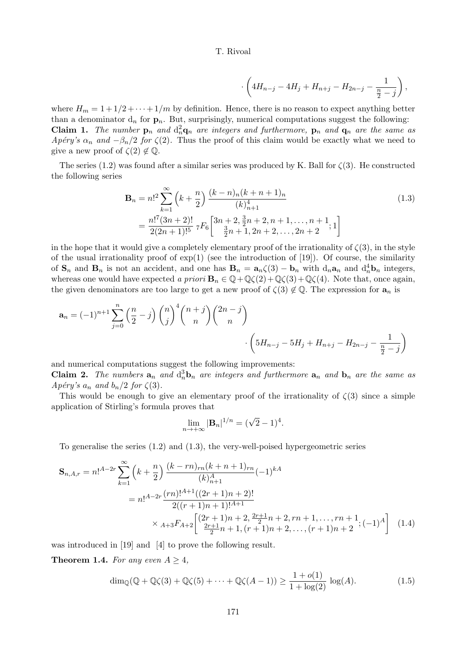$$
\cdot \left(4H_{n-j} - 4H_j + H_{n+j} - H_{2n-j} - \frac{1}{\frac{n}{2} - j}\right),\,
$$

where  $H_m = 1 + 1/2 + \cdots + 1/m$  by definition. Hence, there is no reason to expect anything better than a denominator  $d_n$  for  $p_n$ . But, surprisingly, numerical computations suggest the following: **Claim 1.** The number  $\mathbf{p}_n$  and  $d_n^2 \mathbf{q}_n$  are integers and furthermore,  $\mathbf{p}_n$  and  $\mathbf{q}_n$  are the same as Apéry's  $\alpha_n$  and  $-\beta_n/2$  for  $\zeta(2)$ . Thus the proof of this claim would be exactly what we need to give a new proof of  $\zeta(2) \notin \mathbb{Q}$ .

The series (1.2) was found after a similar series was produced by K. Ball for  $\zeta(3)$ . He constructed the following series

$$
\mathbf{B}_{n} = n!^{2} \sum_{k=1}^{\infty} \left(k + \frac{n}{2}\right) \frac{(k-n)_{n}(k+n+1)_{n}}{(k)_{n+1}^{4}}
$$
\n
$$
= \frac{n!^{7}(3n+2)!}{2(2n+1)!^{5}} \ {}_{7}F_{6} \left[ \frac{3n+2}{3} \frac{3}{2}n+2, n+1, \dots, n+1}{\frac{3}{2}n+1, 2n+2, \dots, 2n+2} ; 1 \right]
$$
\n
$$
(1.3)
$$

in the hope that it would give a completely elementary proof of the irrationality of  $\zeta(3)$ , in the style of the usual irrationality proof of  $exp(1)$  (see the introduction of [19]). Of course, the similarity of  $\mathbf{S}_n$  and  $\mathbf{B}_n$  is not an accident, and one has  $\mathbf{B}_n = \mathbf{a}_n \zeta(3) - \mathbf{b}_n$  with  $d_n \mathbf{a}_n$  and  $d_n^4 \mathbf{b}_n$  integers, whereas one would have expected a priori  $\mathbf{B}_n \in \mathbb{Q} + \mathbb{Q}\zeta(2) + \mathbb{Q}\zeta(3) + \mathbb{Q}\zeta(4)$ . Note that, once again, the given denominators are too large to get a new proof of  $\zeta(3) \notin \mathbb{Q}$ . The expression for  $a_n$  is

$$
\mathbf{a}_n = (-1)^{n+1} \sum_{j=0}^n \left(\frac{n}{2} - j\right) \binom{n}{j}^4 \binom{n+j}{n} \binom{2n-j}{n} \cdot \left(5H_{n-j} - 5H_j + H_{n+j} - H_{2n-j} - \frac{1}{\frac{n}{2} - j}\right)
$$

and numerical computations suggest the following improvements:

**Claim 2.** The numbers  $a_n$  and  $d_n^3b_n$  are integers and furthermore  $a_n$  and  $b_n$  are the same as Apéry's  $a_n$  and  $b_n/2$  for  $\zeta(3)$ .

This would be enough to give an elementary proof of the irrationality of  $\zeta(3)$  since a simple application of Stirling's formula proves that

$$
\lim_{n \to +\infty} |\mathbf{B}_n|^{1/n} = (\sqrt{2} - 1)^4.
$$

To generalise the series (1.2) and (1.3), the very-well-poised hypergeometric series

$$
\mathbf{S}_{n,A,r} = n!^{A-2r} \sum_{k=1}^{\infty} \left( k + \frac{n}{2} \right) \frac{(k-rn)_{rn}(k+n+1)_{rn}}{(k)_{n+1}^A} (-1)^{kA}
$$
  
= 
$$
n!^{A-2r} \frac{(rn)!^{A+1}((2r+1)n+2)!}{2((r+1)n+1)!^{A+1}}
$$
  

$$
\times {}_{A+3}F_{A+2} \left[ \frac{(2r+1)n+2}{\frac{2r+1}{2}n+1}(r+1)n+2,\dots,(r+1)n+2};(-1)^A \right] (1.4)
$$

was introduced in [19] and [4] to prove the following result.

**Theorem 1.4.** For any even  $A \geq 4$ ,

$$
\dim_{\mathbb{Q}}(\mathbb{Q} + \mathbb{Q}\zeta(3) + \mathbb{Q}\zeta(5) + \dots + \mathbb{Q}\zeta(A-1)) \ge \frac{1 + o(1)}{1 + \log(2)} \log(A). \tag{1.5}
$$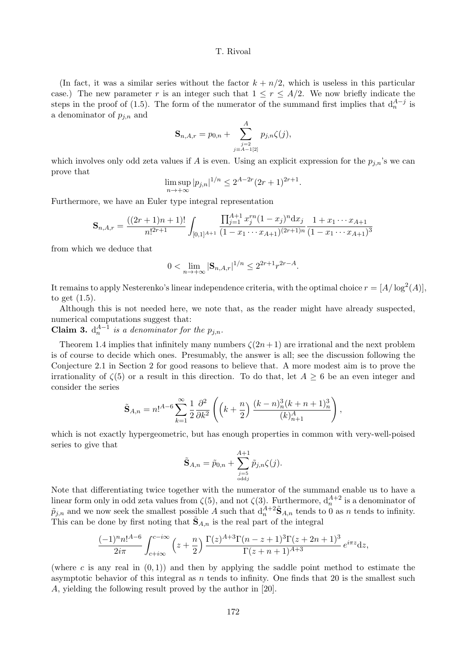(In fact, it was a similar series without the factor  $k + n/2$ , which is useless in this particular case.) The new parameter r is an integer such that  $1 \leq r \leq A/2$ . We now briefly indicate the steps in the proof of (1.5). The form of the numerator of the summand first implies that  $d_n^{A-j}$  is a denominator of  $p_{i,n}$  and

$$
\mathbf{S}_{n,A,r} = p_{0,n} + \sum_{\substack{j=2 \ j \equiv A-1[2]}}^{A} p_{j,n} \zeta(j),
$$

which involves only odd zeta values if A is even. Using an explicit expression for the  $p_{j,n}$ 's we can prove that

$$
\limsup_{n \to +\infty} |p_{j,n}|^{1/n} \le 2^{A-2r} (2r+1)^{2r+1}.
$$

Furthermore, we have an Euler type integral representation

$$
\mathbf{S}_{n,A,r} = \frac{((2r+1)n+1)!}{n!^{2r+1}} \int_{[0,1]^{A+1}} \frac{\prod_{j=1}^{A+1} x_j^{rn} (1-x_j)^n \mathrm{d}x_j}{(1-x_1\cdots x_{A+1})^{(2r+1)n}} \frac{1+x_1\cdots x_{A+1}}{(1-x_1\cdots x_{A+1})^3}
$$

from which we deduce that

$$
0 < \lim_{n \to +\infty} |\mathbf{S}_{n,A,r}|^{1/n} \le 2^{2r+1} r^{2r-A}.
$$

It remains to apply Nesterenko's linear independence criteria, with the optimal choice  $r = [A/\log^2(A)],$ to get (1.5).

Although this is not needed here, we note that, as the reader might have already suspected, numerical computations suggest that:

**Claim 3.**  $d_n^{A-1}$  is a denominator for the  $p_{j,n}$ .

Theorem 1.4 implies that infinitely many numbers  $\zeta(2n+1)$  are irrational and the next problem is of course to decide which ones. Presumably, the answer is all; see the discussion following the Conjecture 2.1 in Section 2 for good reasons to believe that. A more modest aim is to prove the irrationality of  $\zeta(5)$  or a result in this direction. To do that, let  $A \geq 6$  be an even integer and consider the series

$$
\tilde{\mathbf{S}}_{A,n}=n!^{A-6}\sum_{k=1}^{\infty}\frac{1}{2}\frac{\partial^2}{\partial k^2}\left(\left(k+\frac{n}{2}\right)\frac{(k-n)^3_n(k+n+1)^3_n}{(k)^A_{n+1}}\right),\,
$$

which is not exactly hypergeometric, but has enough properties in common with very-well-poised series to give that

$$
\tilde{\mathbf{S}}_{A,n} = \tilde{p}_{0,n} + \sum_{\substack{j=5 \ \text{odd }j}}^{A+1} \tilde{p}_{j,n} \zeta(j).
$$

Note that differentiating twice together with the numerator of the summand enable us to have a linear form only in odd zeta values from  $\zeta(5)$ , and not  $\zeta(3)$ . Furthermore,  $d_n^{A+2}$  is a denominator of  $\tilde{p}_{j,n}$  and we now seek the smallest possible A such that  $d_n^{A+2} \tilde{S}_{A,n}$  tends to 0 as n tends to infinity. This can be done by first noting that  $\tilde{\mathbf{S}}_{A,n}$  is the real part of the integral

$$
\frac{(-1)^{n}n!^{A-6}}{2i\pi} \int_{c+i\infty}^{c-i\infty} \left(z+\frac{n}{2}\right) \frac{\Gamma(z)^{A+3}\Gamma(n-z+1)^3 \Gamma(z+2n+1)^3}{\Gamma(z+n+1)^{A+3}} e^{i\pi z} dz,
$$

(where c is any real in  $(0, 1)$ ) and then by applying the saddle point method to estimate the asymptotic behavior of this integral as  $n$  tends to infinity. One finds that 20 is the smallest such A, yielding the following result proved by the author in [20].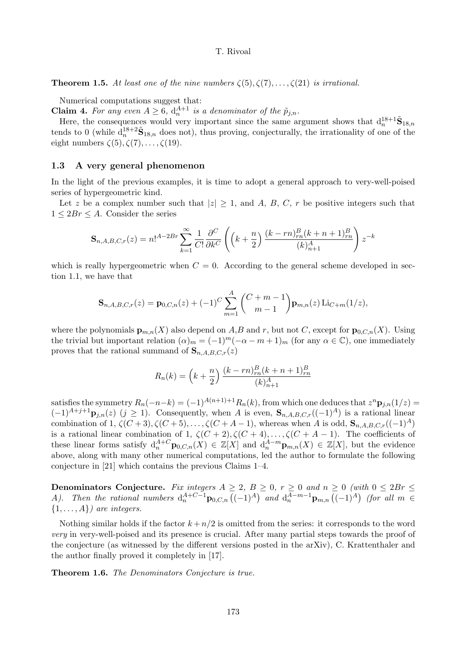**Theorem 1.5.** At least one of the nine numbers  $\zeta(5), \zeta(7), \ldots, \zeta(21)$  is irrational.

Numerical computations suggest that:

**Claim 4.** For any even  $A \geq 6$ ,  $d_n^{A+1}$  is a denominator of the  $\tilde{p}_{j,n}$ .

Here, the consequences would very important since the same argument shows that  $d_n^{18+1} \tilde{S}_{18,n}$ tends to 0 (while  $d_n^{18+2} \tilde{S}_{18,n}$  does not), thus proving, conjecturally, the irrationality of one of the eight numbers  $\zeta(5), \zeta(7), \ldots, \zeta(19)$ .

# 1.3 A very general phenomenon

In the light of the previous examples, it is time to adopt a general approach to very-well-poised series of hypergeometric kind.

Let z be a complex number such that  $|z| \geq 1$ , and A, B, C, r be positive integers such that  $1 \leq 2Br \leq A$ . Consider the series

$$
\mathbf{S}_{n,A,B,C,r}(z) = n!^{A-2Br} \sum_{k=1}^{\infty} \frac{1}{C!} \frac{\partial^C}{\partial k^C} \left( \left( k + \frac{n}{2} \right) \frac{(k-rn)_{rn}^B (k+n+1)_{rn}^B}{(k)_{n+1}^A} \right) z^{-k}
$$

which is really hypergeometric when  $C = 0$ . According to the general scheme developed in section 1.1, we have that

$$
\mathbf{S}_{n,A,B,C,r}(z) = \mathbf{p}_{0,C,n}(z) + (-1)^C \sum_{m=1}^{A} {C+m-1 \choose m-1} \mathbf{p}_{m,n}(z) \operatorname{Li}_{C+m}(1/z),
$$

where the polynomials  $\mathbf{p}_{m,n}(X)$  also depend on A,B and r, but not C, except for  $\mathbf{p}_{0,C,n}(X)$ . Using the trivial but important relation  $(\alpha)_m = (-1)^m(-\alpha - m + 1)_m$  (for any  $\alpha \in \mathbb{C}$ ), one immediately proves that the rational summand of  $\mathbf{S}_{n,A,B,C,r}(z)$ 

$$
R_n(k) = \left(k + \frac{n}{2}\right) \frac{(k - rn)_{rn}^B (k + n + 1)_{rn}^B}{(k)_{n+1}^A}
$$

satisfies the symmetry  $R_n(-n-k) = (-1)^{A(n+1)+1} R_n(k)$ , from which one deduces that  $z^n \mathbf{p}_{j,n}(1/z) =$  $(-1)^{A+j+1}$ **P**<sub>j,n</sub>(z) (j ≥ 1). Consequently, when A is even,  $\mathbf{S}_{n,A,B,C,r}((-1)^{A})$  is a rational linear combination of 1,  $\zeta(C+3)$ ,  $\zeta(C+5)$ , ...,  $\zeta(C+A-1)$ , whereas when A is odd,  $\mathbf{S}_{n,A,B,C,r}((-1)^A)$ is a rational linear combination of 1,  $\zeta(C+2), \zeta(C+4), \ldots, \zeta(C+A-1)$ . The coefficients of these linear forms satisfy  $d_n^{A+C}$ **p**<sub>0,*C*,*n*</sub>(*X*)  $\in \mathbb{Z}[X]$  and  $d_n^{A-m}$ **p**<sub>*m*,*n*</sub>(*X*)  $\in \mathbb{Z}[X]$ , but the evidence above, along with many other numerical computations, led the author to formulate the following conjecture in [21] which contains the previous Claims 1–4.

Denominators Conjecture. Fix integers  $A \geq 2$ ,  $B \geq 0$ ,  $r \geq 0$  and  $n \geq 0$  (with  $0 \leq 2Br \leq$ A). Then the rational numbers  $d_n^{A+C-1}p_{0,C,n}((-1)^A)$  and  $d_n^{A-m-1}p_{m,n}((-1)^A)$  (for all  $m \in$  $\{1, \ldots, A\}$  are integers.

Nothing similar holds if the factor  $k + n/2$  is omitted from the series: it corresponds to the word very in very-well-poised and its presence is crucial. After many partial steps towards the proof of the conjecture (as witnessed by the different versions posted in the arXiv), C. Krattenthaler and the author finally proved it completely in [17].

Theorem 1.6. The Denominators Conjecture is true.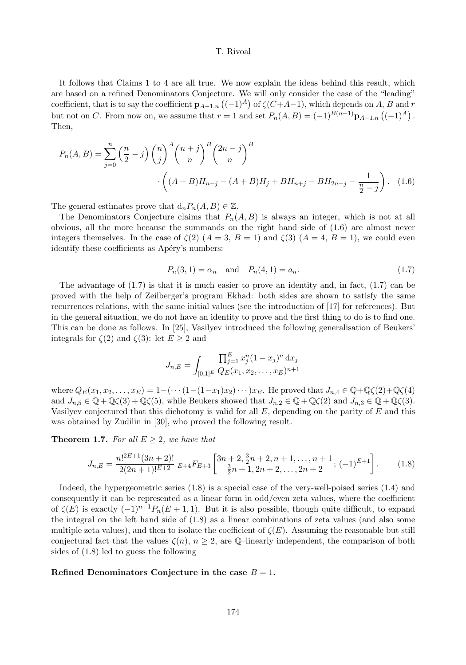It follows that Claims 1 to 4 are all true. We now explain the ideas behind this result, which are based on a refined Denominators Conjecture. We will only consider the case of the "leading" coefficient, that is to say the coefficient  $p_{A-1,n}$  ( $(-1)^{A}$ ) of  $\zeta$ ( $C+A-1$ ), which depends on A, B and r but not on C. From now on, we assume that  $r = 1$  and set  $P_n(A, B) = (-1)^{B(n+1)} \mathbf{p}_{A-1,n} \left( (-1)^A \right)$ . Then,

$$
P_n(A, B) = \sum_{j=0}^n \left(\frac{n}{2} - j\right) \binom{n}{j}^A \binom{n+j}{n}^B \binom{2n-j}{n}^B
$$

$$
\cdot \left( (A + B)H_{n-j} - (A + B)H_j + BH_{n+j} - BH_{2n-j} - \frac{1}{\frac{n}{2} - j} \right). \tag{1.6}
$$

The general estimates prove that  $d_n P_n(A, B) \in \mathbb{Z}$ .

The Denominators Conjecture claims that  $P_n(A, B)$  is always an integer, which is not at all obvious, all the more because the summands on the right hand side of (1.6) are almost never integers themselves. In the case of  $\zeta(2)$   $(A = 3, B = 1)$  and  $\zeta(3)$   $(A = 4, B = 1)$ , we could even identify these coefficients as Apéry's numbers:

$$
P_n(3, 1) = \alpha_n
$$
 and  $P_n(4, 1) = a_n$ . (1.7)

The advantage of  $(1.7)$  is that it is much easier to prove an identity and, in fact,  $(1.7)$  can be proved with the help of Zeilberger's program Ekhad: both sides are shown to satisfy the same recurrences relations, with the same initial values (see the introduction of [17] for references). But in the general situation, we do not have an identity to prove and the first thing to do is to find one. This can be done as follows. In [25], Vasilyev introduced the following generalisation of Beukers' integrals for  $\zeta(2)$  and  $\zeta(3)$ : let  $E \geq 2$  and

$$
J_{n,E} = \int_{[0,1]^E} \frac{\prod_{j=1}^E x_j^n (1-x_j)^n \,dx_j}{Q_E(x_1, x_2, \dots, x_E)^{n+1}}
$$

where  $Q_E(x_1, x_2, \ldots, x_E) = 1 - (\cdots (1 - (1 - x_1)x_2) \cdots)x_E$ . He proved that  $J_{n,4} \in \mathbb{Q} + \mathbb{Q}\zeta(2) + \mathbb{Q}\zeta(4)$ and  $J_{n,5} \in \mathbb{Q} + \mathbb{Q}\zeta(3) + \mathbb{Q}\zeta(5)$ , while Beukers showed that  $J_{n,2} \in \mathbb{Q} + \mathbb{Q}\zeta(2)$  and  $J_{n,3} \in \mathbb{Q} + \mathbb{Q}\zeta(3)$ . Vasilyev conjectured that this dichotomy is valid for all  $E$ , depending on the parity of  $E$  and this was obtained by Zudilin in [30], who proved the following result.

**Theorem 1.7.** For all  $E \geq 2$ , we have that

$$
J_{n,E} = \frac{n!^{2E+1}(3n+2)!}{2(2n+1)!^{E+2}} E_{+4} F_{E+3} \left[ \frac{3n+2}{\frac{3}{2}n+1, 2n+2, \dots, n+1}{\frac{3}{2}n+1, 2n+2, \dots, 2n+2}; (-1)^{E+1} \right].
$$
 (1.8)

Indeed, the hypergeometric series (1.8) is a special case of the very-well-poised series (1.4) and consequently it can be represented as a linear form in odd/even zeta values, where the coefficient of  $\zeta(E)$  is exactly  $(-1)^{n+1}P_n(E+1,1)$ . But it is also possible, though quite difficult, to expand the integral on the left hand side of (1.8) as a linear combinations of zeta values (and also some multiple zeta values), and then to isolate the coefficient of  $\zeta(E)$ . Assuming the reasonable but still conjectural fact that the values  $\zeta(n)$ ,  $n \geq 2$ , are Q-linearly independent, the comparison of both sides of (1.8) led to guess the following

#### Refined Denominators Conjecture in the case  $B = 1$ .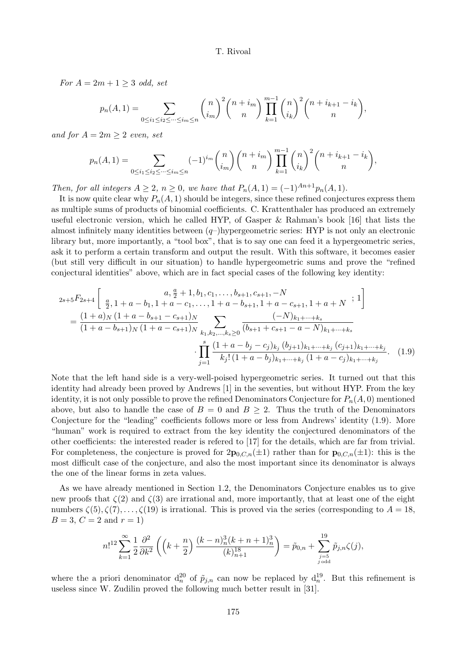For  $A = 2m + 1 \geq 3$  odd, set

$$
p_n(A,1) = \sum_{0 \le i_1 \le i_2 \le \dots \le i_m \le n} {n \choose i_m}^2 {n + i_m \choose n} \prod_{k=1}^{m-1} {n \choose i_k}^2 {n + i_{k+1} - i_k \choose n},
$$

and for  $A = 2m \geq 2$  even, set

$$
p_n(A,1) = \sum_{0 \le i_1 \le i_2 \le \dots \le i_m \le n} (-1)^{i_m} \binom{n}{i_m} \binom{n+i_m}{n} \prod_{k=1}^{m-1} \binom{n}{i_k}^2 \binom{n+i_{k+1}-i_k}{n},
$$

Then, for all integers  $A \geq 2$ ,  $n \geq 0$ , we have that  $P_n(A, 1) = (-1)^{An+1}p_n(A, 1)$ .

It is now quite clear why  $P_n(A, 1)$  should be integers, since these refined conjectures express them as multiple sums of products of binomial coefficients. C. Krattenthaler has produced an extremely useful electronic version, which he called HYP, of Gasper & Rahman's book [16] that lists the almost infinitely many identities between  $(q-)$ hypergeometric series: HYP is not only an electronic library but, more importantly, a "tool box", that is to say one can feed it a hypergeometric series, ask it to perform a certain transform and output the result. With this software, it becomes easier (but still very difficult in our situation) to handle hypergeometric sums and prove the "refined conjectural identities" above, which are in fact special cases of the following key identity:

$$
2s+5F_{2s+4}\left[\begin{array}{c} a, \frac{a}{2}+1, b_1, c_1, \dots, b_{s+1}, c_{s+1}, -N\\ \frac{a}{2}, 1+a-b_1, 1+a-c_1, \dots, 1+a-b_{s+1}, 1+a-c_{s+1}, 1+a+N \end{array}; 1\right]
$$

$$
=\frac{(1+a)_N(1+a-b_{s+1}-c_{s+1})_N}{(1+a-b_{s+1})_N(1+a-c_{s+1})_N} \sum_{\substack{k_1,k_2,\dots,k_s\geq 0\\k_1+\dots+k_s}} \frac{(-N)_{k_1+\dots+k_s}}{(b_{s+1}+c_{s+1}-a-N)_{k_1+\dots+k_s}}
$$

$$
\cdot \prod_{j=1}^s \frac{(1+a-b_j-c_j)_{k_j}(b_{j+1})_{k_1+\dots+k_j}(c_{j+1})_{k_1+\dots+k_j}}{k_j!(1+a-b_j)_{k_1+\dots+k_j}(1+a-c_j)_{k_1+\dots+k_j}}.
$$
(1.9)

Note that the left hand side is a very-well-poised hypergeometric series. It turned out that this identity had already been proved by Andrews [1] in the seventies, but without HYP. From the key identity, it is not only possible to prove the refined Denominators Conjecture for  $P_n(A, 0)$  mentioned above, but also to handle the case of  $B = 0$  and  $B \geq 2$ . Thus the truth of the Denominators Conjecture for the "leading" coefficients follows more or less from Andrews' identity (1.9). More "human" work is required to extract from the key identity the conjectured denominators of the other coefficients: the interested reader is refered to [17] for the details, which are far from trivial. For completeness, the conjecture is proved for  $2p_{0,C,n}(\pm 1)$  rather than for  $p_{0,C,n}(\pm 1)$ : this is the most difficult case of the conjecture, and also the most important since its denominator is always the one of the linear forms in zeta values.

As we have already mentioned in Section 1.2, the Denominators Conjecture enables us to give new proofs that  $\zeta(2)$  and  $\zeta(3)$  are irrational and, more importantly, that at least one of the eight numbers  $\zeta(5), \zeta(7), \ldots, \zeta(19)$  is irrational. This is proved via the series (corresponding to  $A = 18$ ,  $B = 3, C = 2$  and  $r = 1$ )

$$
n!^{12} \sum_{k=1}^{\infty} \frac{1}{2} \frac{\partial^2}{\partial k^2} \left( \left( k + \frac{n}{2} \right) \frac{(k-n)_n^3 (k+n+1)_n^3}{(k)_{n+1}^{18}} \right) = \tilde{p}_{0,n} + \sum_{\substack{j=5 \ j \text{ odd}}}^{19} \tilde{p}_{j,n} \zeta(j),
$$

where the a priori denominator  $d_n^{20}$  of  $\tilde{p}_{j,n}$  can now be replaced by  $d_n^{19}$ . But this refinement is useless since W. Zudilin proved the following much better result in [31].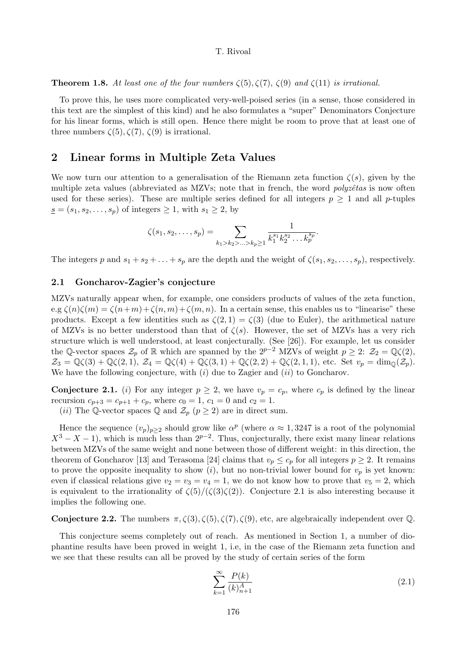**Theorem 1.8.** At least one of the four numbers  $\zeta(5), \zeta(7), \zeta(9)$  and  $\zeta(11)$  is irrational.

To prove this, he uses more complicated very-well-poised series (in a sense, those considered in this text are the simplest of this kind) and he also formulates a "super" Denominators Conjecture for his linear forms, which is still open. Hence there might be room to prove that at least one of three numbers  $\zeta(5), \zeta(7), \zeta(9)$  is irrational.

# 2 Linear forms in Multiple Zeta Values

We now turn our attention to a generalisation of the Riemann zeta function  $\zeta(s)$ , given by the multiple zeta values (abbreviated as MZVs; note that in french, the word *polyzêtas* is now often used for these series). These are multiple series defined for all integers  $p \geq 1$  and all p-tuples  $s = (s_1, s_2, \ldots, s_p)$  of integers  $\geq 1$ , with  $s_1 \geq 2$ , by

$$
\zeta(s_1, s_2, \dots, s_p) = \sum_{k_1 > k_2 > \dots > k_p \ge 1} \frac{1}{k_1^{s_1} k_2^{s_2} \dots k_p^{s_p}}.
$$

The integers p and  $s_1 + s_2 + \ldots + s_p$  are the depth and the weight of  $\zeta(s_1, s_2, \ldots, s_p)$ , respectively.

# 2.1 Goncharov-Zagier's conjecture

MZVs naturally appear when, for example, one considers products of values of the zeta function, e.g  $\zeta(n)\zeta(m) = \zeta(n+m)+\zeta(n,m)+\zeta(m,n)$ . In a certain sense, this enables us to "linearise" these products. Except a few identities such as  $\zeta(2,1) = \zeta(3)$  (due to Euler), the arithmetical nature of MZVs is no better understood than that of  $\zeta(s)$ . However, the set of MZVs has a very rich structure which is well understood, at least conjecturally. (See [26]). For example, let us consider the Q-vector spaces  $\mathcal{Z}_p$  of R which are spanned by the  $2^{p-2}$  MZVs of weight  $p \geq 2$ :  $\mathcal{Z}_2 = \mathbb{Q}\zeta(2)$ ,  $\mathcal{Z}_3 = \mathbb{Q}\zeta(3) + \mathbb{Q}\zeta(2,1), \ \mathcal{Z}_4 = \mathbb{Q}\zeta(4) + \mathbb{Q}\zeta(3,1) + \mathbb{Q}\zeta(2,2) + \mathbb{Q}\zeta(2,1,1),$  etc. Set  $v_p = \dim_{\mathbb{Q}}(\mathcal{Z}_p)$ . We have the following conjecture, with  $(i)$  due to Zagier and  $(ii)$  to Goncharov.

**Conjecture 2.1.** (i) For any integer  $p \geq 2$ , we have  $v_p = c_p$ , where  $c_p$  is defined by the linear recursion  $c_{p+3} = c_{p+1} + c_p$ , where  $c_0 = 1$ ,  $c_1 = 0$  and  $c_2 = 1$ .

(*ii*) The Q-vector spaces Q and  $\mathcal{Z}_p$  ( $p \geq 2$ ) are in direct sum.

Hence the sequence  $(v_p)_{p\geq 2}$  should grow like  $\alpha^p$  (where  $\alpha \approx 1,3247$  is a root of the polynomial  $X^3 - X - 1$ , which is much less than  $2^{p-2}$ . Thus, conjecturally, there exist many linear relations between MZVs of the same weight and none between those of different weight: in this direction, the theorem of Goncharov [13] and Terasoma [24] claims that  $v_p \leq c_p$  for all integers  $p \geq 2$ . It remains to prove the opposite inequality to show (i), but no non-trivial lower bound for  $v_p$  is yet known: even if classical relations give  $v_2 = v_3 = v_4 = 1$ , we do not know how to prove that  $v_5 = 2$ , which is equivalent to the irrationality of  $\zeta(5)/(\zeta(3)\zeta(2))$ . Conjecture 2.1 is also interesting because it implies the following one.

# **Conjecture 2.2.** The numbers  $\pi$ ,  $\zeta$ (3),  $\zeta$ (5),  $\zeta$ (7),  $\zeta$ (9), etc, are algebraically independent over Q.

This conjecture seems completely out of reach. As mentioned in Section 1, a number of diophantine results have been proved in weight 1, i.e, in the case of the Riemann zeta function and we see that these results can all be proved by the study of certain series of the form

$$
\sum_{k=1}^{\infty} \frac{P(k)}{(k)_{n+1}^A} \tag{2.1}
$$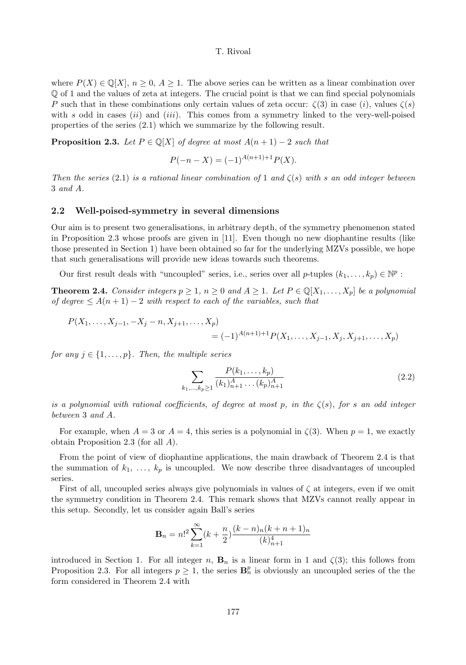where  $P(X) \in \mathbb{Q}[X], n \geq 0, A \geq 1$ . The above series can be written as a linear combination over Q of 1 and the values of zeta at integers. The crucial point is that we can find special polynomials P such that in these combinations only certain values of zeta occur:  $\zeta(3)$  in case  $(i)$ , values  $\zeta(s)$ with  $s$  odd in cases  $(ii)$  and  $(iii)$ . This comes from a symmetry linked to the very-well-poised properties of the series (2.1) which we summarize by the following result.

**Proposition 2.3.** Let  $P \in \mathbb{Q}[X]$  of degree at most  $A(n+1) - 2$  such that

$$
P(-n - X) = (-1)^{A(n+1)+1} P(X).
$$

Then the series (2.1) is a rational linear combination of 1 and  $\zeta(s)$  with s an odd integer between 3 and A.

#### 2.2 Well-poised-symmetry in several dimensions

Our aim is to present two generalisations, in arbitrary depth, of the symmetry phenomenon stated in Proposition 2.3 whose proofs are given in [11]. Even though no new diophantine results (like those presented in Section 1) have been obtained so far for the underlying MZVs possible, we hope that such generalisations will provide new ideas towards such theorems.

Our first result deals with "uncoupled" series, i.e., series over all  $p$ -tuples  $(k_1, \ldots, k_p) \in \mathbb{N}^p$ :

**Theorem 2.4.** Consider integers  $p \geq 1$ ,  $n \geq 0$  and  $A \geq 1$ . Let  $P \in \mathbb{Q}[X_1, \ldots, X_p]$  be a polynomial of degree  $\leq A(n+1)-2$  with respect to each of the variables, such that

$$
P(X_1, \ldots, X_{j-1}, -X_j - n, X_{j+1}, \ldots, X_p) = (-1)^{A(n+1)+1} P(X_1, \ldots, X_{j-1}, X_j, X_{j+1}, \ldots, X_p)
$$

for any  $j \in \{1, \ldots, p\}$ . Then, the multiple series

$$
\sum_{k_1,\dots,k_p \ge 1} \frac{P(k_1,\dots,k_p)}{(k_1)_{n+1}^A \dots (k_p)_{n+1}^A} \tag{2.2}
$$

is a polynomial with rational coefficients, of degree at most p, in the  $\zeta(s)$ , for s an odd integer between 3 and A.

For example, when  $A = 3$  or  $A = 4$ , this series is a polynomial in  $\zeta(3)$ . When  $p = 1$ , we exactly obtain Proposition 2.3 (for all A).

From the point of view of diophantine applications, the main drawback of Theorem 2.4 is that the summation of  $k_1, \ldots, k_p$  is uncoupled. We now describe three disadvantages of uncoupled series.

First of all, uncoupled series always give polynomials in values of  $\zeta$  at integers, even if we omit the symmetry condition in Theorem 2.4. This remark shows that MZVs cannot really appear in this setup. Secondly, let us consider again Ball's series

$$
\mathbf{B}_n = n!^2 \sum_{k=1}^{\infty} (k + \frac{n}{2}) \frac{(k-n)_n (k+n+1)_n}{(k)_{n+1}^4}
$$

introduced in Section 1. For all integer n,  $\mathbf{B}_n$  is a linear form in 1 and  $\zeta(3)$ ; this follows from Proposition 2.3. For all integers  $p \geq 1$ , the series  $\mathbf{B}_n^p$  is obviously an uncoupled series of the the form considered in Theorem 2.4 with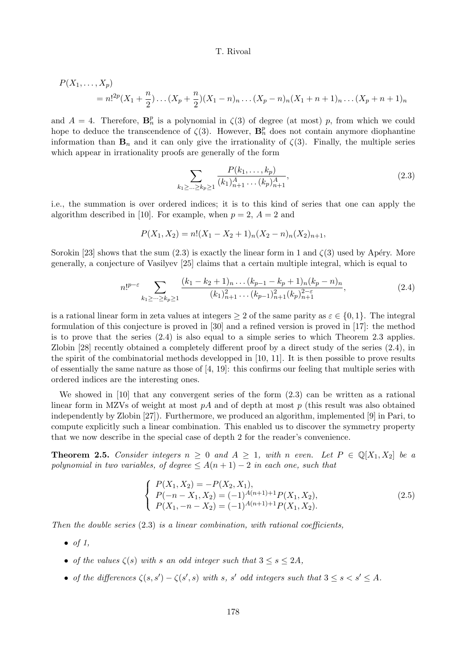$$
P(X_1,...,X_p) = n!^{2p}(X_1 + \frac{n}{2})...(X_p + \frac{n}{2})(X_1 - n)_n...(X_p - n)_n(X_1 + n + 1)_n...(X_p + n + 1)_n
$$

and  $A = 4$ . Therefore,  $\mathbf{B}_n^p$  is a polynomial in  $\zeta(3)$  of degree (at most) p, from which we could hope to deduce the transcendence of  $\zeta(3)$ . However,  $\mathbf{B}_n^p$  does not contain anymore diophantine information than  $\mathbf{B}_n$  and it can only give the irrationality of  $\zeta(3)$ . Finally, the multiple series which appear in irrationality proofs are generally of the form

$$
\sum_{k_1 \ge \dots \ge k_p \ge 1} \frac{P(k_1, \dots, k_p)}{(k_1)_{n+1}^A \dots (k_p)_{n+1}^A},\tag{2.3}
$$

i.e., the summation is over ordered indices; it is to this kind of series that one can apply the algorithm described in [10]. For example, when  $p = 2$ ,  $A = 2$  and

$$
P(X_1, X_2) = n!(X_1 - X_2 + 1)_n(X_2 - n)_n(X_2)_{n+1},
$$

Sorokin [23] shows that the sum  $(2.3)$  is exactly the linear form in 1 and  $\zeta(3)$  used by Apéry. More generally, a conjecture of Vasilyev [25] claims that a certain multiple integral, which is equal to

$$
n!^{p-\varepsilon} \sum_{k_1 \ge \cdots \ge k_p \ge 1} \frac{(k_1 - k_2 + 1)_n \dots (k_{p-1} - k_p + 1)_n (k_p - n)_n}{(k_1)_{n+1}^2 \dots (k_{p-1})_{n+1}^2 (k_p)_{n+1}^{2-\varepsilon}},\tag{2.4}
$$

is a rational linear form in zeta values at integers  $\geq 2$  of the same parity as  $\varepsilon \in \{0, 1\}$ . The integral formulation of this conjecture is proved in [30] and a refined version is proved in [17]: the method is to prove that the series (2.4) is also equal to a simple series to which Theorem 2.3 applies. Zlobin [28] recently obtained a completely different proof by a direct study of the series (2.4), in the spirit of the combinatorial methods developped in [10, 11]. It is then possible to prove results of essentially the same nature as those of [4, 19]: this confirms our feeling that multiple series with ordered indices are the interesting ones.

We showed in  $[10]$  that any convergent series of the form  $(2.3)$  can be written as a rational linear form in MZVs of weight at most  $pA$  and of depth at most p (this result was also obtained independently by Zlobin [27]). Furthermore, we produced an algorithm, implemented [9] in Pari, to compute explicitly such a linear combination. This enabled us to discover the symmetry property that we now describe in the special case of depth 2 for the reader's convenience.

**Theorem 2.5.** Consider integers  $n \geq 0$  and  $A \geq 1$ , with n even. Let  $P \in \mathbb{Q}[X_1, X_2]$  be a polynomial in two variables, of degree  $\leq A(n+1)-2$  in each one, such that

$$
\begin{cases}\nP(X_1, X_2) = -P(X_2, X_1), \\
P(-n - X_1, X_2) = (-1)^{A(n+1)+1} P(X_1, X_2), \\
P(X_1, -n - X_2) = (-1)^{A(n+1)+1} P(X_1, X_2).\n\end{cases}
$$
\n(2.5)

Then the double series  $(2.3)$  is a linear combination, with rational coefficients,

- $\bullet$  of 1,
- of the values  $\zeta(s)$  with s an odd integer such that  $3 \leq s \leq 2A$ ,
- of the differences  $\zeta(s,s') \zeta(s',s)$  with s, s' odd integers such that  $3 \leq s < s' \leq A$ .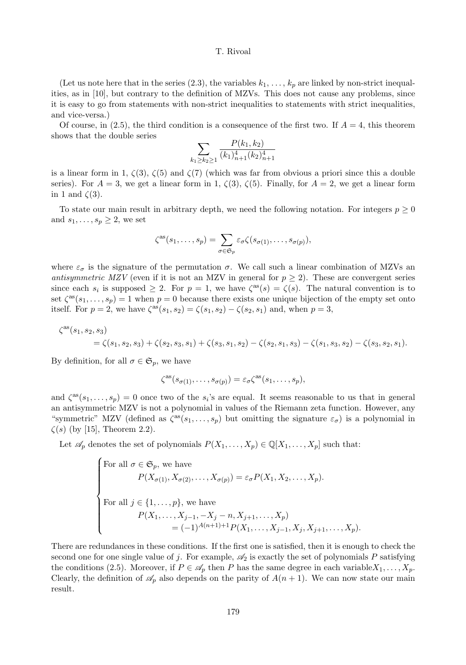(Let us note here that in the series (2.3), the variables  $k_1, \ldots, k_p$  are linked by non-strict inequalities, as in [10], but contrary to the definition of MZVs. This does not cause any problems, since it is easy to go from statements with non-strict inequalities to statements with strict inequalities, and vice-versa.)

Of course, in (2.5), the third condition is a consequence of the first two. If  $A = 4$ , this theorem shows that the double series

$$
\sum_{k_1 \ge k_2 \ge 1} \frac{P(k_1, k_2)}{(k_1)_{n+1}^4 (k_2)_{n+1}^4}
$$

is a linear form in 1,  $\zeta(3)$ ,  $\zeta(5)$  and  $\zeta(7)$  (which was far from obvious a priori since this a double series). For  $A = 3$ , we get a linear form in 1,  $\zeta(3)$ ,  $\zeta(5)$ . Finally, for  $A = 2$ , we get a linear form in 1 and  $\zeta(3)$ .

To state our main result in arbitrary depth, we need the following notation. For integers  $p \geq 0$ and  $s_1, \ldots, s_p \geq 2$ , we set

$$
\zeta^{\rm as}(s_1,\ldots,s_p)=\sum_{\sigma\in\mathfrak{S}_p}\varepsilon_{\sigma}\zeta(s_{\sigma(1)},\ldots,s_{\sigma(p)}),
$$

where  $\varepsilon_{\sigma}$  is the signature of the permutation  $\sigma$ . We call such a linear combination of MZVs and antisymmetric MZV (even if it is not an MZV in general for  $p \ge 2$ ). These are convergent series since each  $s_i$  is supposed  $\geq 2$ . For  $p = 1$ , we have  $\zeta^{as}(s) = \zeta(s)$ . The natural convention is to set  $\zeta^{as}(s_1,\ldots,s_p)=1$  when  $p=0$  because there exists one unique bijection of the empty set onto itself. For  $p = 2$ , we have  $\zeta^{as}(s_1, s_2) = \zeta(s_1, s_2) - \zeta(s_2, s_1)$  and, when  $p = 3$ ,

$$
\begin{aligned} \zeta^{\text{as}}(s_1,s_2,s_3) \\ & = \zeta(s_1,s_2,s_3) + \zeta(s_2,s_3,s_1) + \zeta(s_3,s_1,s_2) - \zeta(s_2,s_1,s_3) - \zeta(s_1,s_3,s_2) - \zeta(s_3,s_2,s_1). \end{aligned}
$$

By definition, for all  $\sigma \in \mathfrak{S}_p$ , we have

$$
\zeta^{\rm as}(s_{\sigma(1)},\ldots,s_{\sigma(p)})=\varepsilon_{\sigma}\zeta^{\rm as}(s_1,\ldots,s_p),
$$

and  $\zeta^{as}(s_1,\ldots,s_p)=0$  once two of the  $s_i$ 's are equal. It seems reasonable to us that in general an antisymmetric MZV is not a polynomial in values of the Riemann zeta function. However, any "symmetric" MZV (defined as  $\zeta^{as}(s_1,\ldots,s_p)$  but omitting the signature  $\varepsilon_{\sigma}$ ) is a polynomial in  $\zeta(s)$  (by [15], Theorem 2.2).

Let  $\mathscr{A}_p$  denotes the set of polynomials  $P(X_1, \ldots, X_p) \in \mathbb{Q}[X_1, \ldots, X_p]$  such that:

For all 
$$
\sigma \in \mathfrak{S}_p
$$
, we have  
\n
$$
P(X_{\sigma(1)}, X_{\sigma(2)},..., X_{\sigma(p)}) = \varepsilon_{\sigma} P(X_1, X_2,..., X_p).
$$
\nFor all  $j \in \{1,..., p\}$ , we have  
\n
$$
P(X_1,..., X_{j-1}, -X_j - n, X_{j+1},..., X_p)
$$
\n
$$
= (-1)^{A(n+1)+1} P(X_1,..., X_{j-1}, X_j, X_{j+1},..., X_p).
$$

There are redundances in these conditions. If the first one is satisfied, then it is enough to check the second one for one single value of j. For example,  $\mathscr{A}_2$  is exactly the set of polynomials P satisfying the conditions (2.5). Moreover, if  $P \in \mathscr{A}_p$  then P has the same degree in each variable  $X_1, \ldots, X_p$ . Clearly, the definition of  $\mathscr{A}_p$  also depends on the parity of  $A(n + 1)$ . We can now state our main result.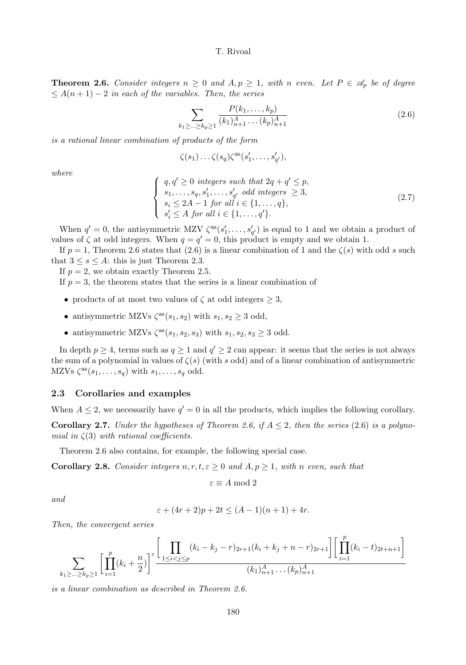**Theorem 2.6.** Consider integers  $n \geq 0$  and  $A, p \geq 1$ , with n even. Let  $P \in \mathscr{A}_p$  be of degree  $\leq A(n+1)-2$  in each of the variables. Then, the series

$$
\sum_{k_1 \ge \dots \ge k_p \ge 1} \frac{P(k_1, \dots, k_p)}{(k_1)_{n+1}^A \dots (k_p)_{n+1}^A} \tag{2.6}
$$

is a rational linear combination of products of the form

$$
\zeta(s_1)\ldots\zeta(s_q)\zeta^{as}(s'_1,\ldots,s'_{q'}),
$$

where

$$
\begin{cases}\n q, q' \geq 0 \text{ integers such that } 2q + q' \leq p, \\
 s_1, \dots, s_q, s'_1, \dots, s'_{q'} \text{ odd integers } \geq 3, \\
 s_i \leq 2A - 1 \text{ for all } i \in \{1, \dots, q\}, \\
 s'_i \leq A \text{ for all } i \in \{1, \dots, q'\}.\n\end{cases}
$$
\n(2.7)

When  $q' = 0$ , the antisymmetric MZV  $\zeta^{as}(s'_1, \ldots, s'_{q'})$  is equal to 1 and we obtain a product of values of  $\zeta$  at odd integers. When  $q = q' = 0$ , this product is empty and we obtain 1.

If  $p = 1$ , Theorem 2.6 states that (2.6) is a linear combination of 1 and the  $\zeta(s)$  with odd s such that  $3 \leq s \leq A$ : this is just Theorem 2.3.

If  $p = 2$ , we obtain exactly Theorem 2.5.

If  $p = 3$ , the theorem states that the series is a linear combination of

- products of at most two values of  $\zeta$  at odd integers  $\geq 3$ ,
- antisymmetric MZVs  $\zeta^{as}(s_1, s_2)$  with  $s_1, s_2 \geq 3$  odd,
- antisymmetric MZVs  $\zeta^{as}(s_1, s_2, s_3)$  with  $s_1, s_2, s_3 \geq 3$  odd.

In depth  $p \ge 4$ , terms such as  $q \ge 1$  and  $q' \ge 2$  can appear: it seems that the series is not always the sum of a polynomial in values of  $\zeta(s)$  (with s odd) and of a linear combination of antisymmetric MZVs  $\zeta^{as}(s_1,\ldots,s_q)$  with  $s_1,\ldots,s_q$  odd.

#### 2.3 Corollaries and examples

When  $A \leq 2$ , we necessarily have  $q' = 0$  in all the products, which implies the following corollary.

**Corollary 2.7.** Under the hypotheses of Theorem 2.6, if  $A \leq 2$ , then the series (2.6) is a polynomial in  $\zeta(3)$  with rational coefficients.

Theorem 2.6 also contains, for example, the following special case.

**Corollary 2.8.** Consider integers  $n, r, t, \varepsilon \geq 0$  and  $A, p \geq 1$ , with n even, such that

$$
\varepsilon \equiv A \bmod 2
$$

and

$$
\varepsilon + (4r + 2)p + 2t \le (A - 1)(n + 1) + 4r.
$$

Then, the convergent series

$$
\sum_{k_1 \geq \ldots \geq k_p \geq 1} \left[ \prod_{i=1}^p (k_i + \frac{n}{2}) \right]^{\varepsilon} \frac{\left[ \prod_{1 \leq i < j \leq p} (k_i - k_j - r)_{2r+1} (k_i + k_j + n - r)_{2r+1} \right] \left[ \prod_{i=1}^p (k_i - t)_{2t+n+1} \right]}{(k_1)_{n+1}^A \ldots (k_p)_{n+1}^A}
$$

is a linear combination as described in Theorem 2.6.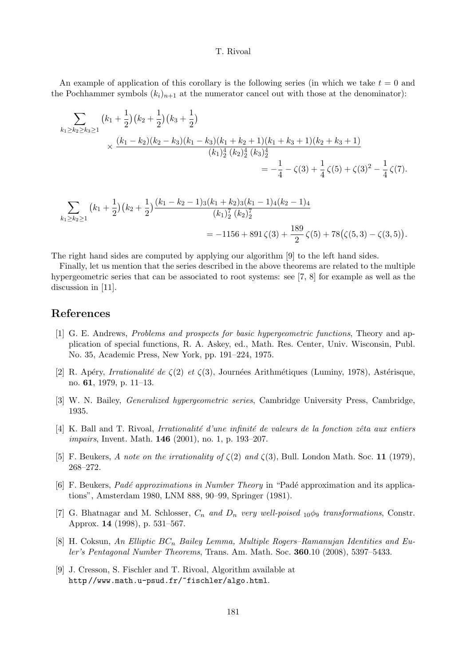An example of application of this corollary is the following series (in which we take  $t = 0$  and the Pochhammer symbols  $(k_i)_{n+1}$  at the numerator cancel out with those at the denominator):

$$
\sum_{k_1 \ge k_2 \ge k_3 \ge 1} (k_1 + \frac{1}{2}) (k_2 + \frac{1}{2}) (k_3 + \frac{1}{2})
$$
\n
$$
\times \frac{(k_1 - k_2)(k_2 - k_3)(k_1 - k_3)(k_1 + k_2 + 1)(k_1 + k_3 + 1)(k_2 + k_3 + 1)}{(k_1)_2^4 (k_2)_2^4 (k_3)_2^4}
$$
\n
$$
= -\frac{1}{4} - \zeta(3) + \frac{1}{4} \zeta(5) + \zeta(3)^2 - \frac{1}{4} \zeta(7).
$$

$$
\sum_{k_1 \ge k_2 \ge 1} (k_1 + \frac{1}{2}) (k_2 + \frac{1}{2}) \frac{(k_1 - k_2 - 1)_3 (k_1 + k_2)_3 (k_1 - 1)_4 (k_2 - 1)_4}{(k_1)_2^7 (k_2)_2^7}
$$
  
= -1156 + 891 \zeta(3) +  $\frac{189}{2}$  \zeta(5) + 78 (\zeta(5, 3) - \zeta(3, 5)).

The right hand sides are computed by applying our algorithm [9] to the left hand sides.

Finally, let us mention that the series described in the above theorems are related to the multiple hypergeometric series that can be associated to root systems: see [7, 8] for example as well as the discussion in [11].

# References

- [1] G. E. Andrews, Problems and prospects for basic hypergeometric functions, Theory and application of special functions, R. A. Askey, ed., Math. Res. Center, Univ. Wisconsin, Publ. No. 35, Academic Press, New York, pp. 191–224, 1975.
- [2] R. Apéry, Irrationalité de  $\zeta(2)$  et  $\zeta(3)$ , Journées Arithmétiques (Luminy, 1978), Astérisque, no. 61, 1979, p. 11–13.
- [3] W. N. Bailey, Generalized hypergeometric series, Cambridge University Press, Cambridge, 1935.
- $[4]$  K. Ball and T. Rivoal, Irrationalité d'une infinité de valeurs de la fonction zêta aux entiers impairs, Invent. Math. **146** (2001), no. 1, p. 193-207.
- [5] F. Beukers, A note on the irrationality of  $\zeta(2)$  and  $\zeta(3)$ , Bull. London Math. Soc. 11 (1979), 268–272.
- [6] F. Beukers, Padé approximations in Number Theory in "Padé approximation and its applications", Amsterdam 1980, LNM 888, 90–99, Springer (1981).
- [7] G. Bhatnagar and M. Schlosser,  $C_n$  and  $D_n$  very well-poised  $_{10}\phi_9$  transformations, Constr. Approx. 14 (1998), p. 531–567.
- [8] H. Coksun, An Elliptic  $BC_n$  Bailey Lemma, Multiple Rogers–Ramanujan Identities and Euler's Pentagonal Number Theorems, Trans. Am. Math. Soc. 360.10 (2008), 5397–5433.
- [9] J. Cresson, S. Fischler and T. Rivoal, Algorithm available at http://www.math.u-psud.fr/~fischler/algo.html.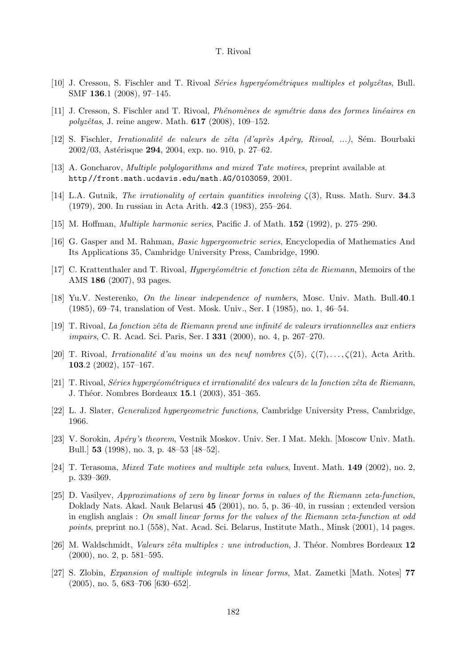- [10] J. Cresson, S. Fischler and T. Rivoal *Séries hypergéométriques multiples et polyzêtas*, Bull. SMF 136.1 (2008), 97–145.
- [11] J. Cresson, S. Fischler and T. Rivoal, *Phénomènes de symétrie dans des formes linéaires en*  $polyzêtas, J. reine angew. Math. 617 (2008), 109-152.$
- [12] S. Fischler, *Irrationalité de valeurs de zêta (d'après Apéry, Rivoal, ...)*, Sém. Bourbaki 2002/03, Astérisque 294, 2004, exp. no. 910, p. 27–62.
- [13] A. Goncharov, Multiple polylogarithms and mixed Tate motives, preprint available at http://front.math.ucdavis.edu/math.AG/0103059, 2001.
- [14] L.A. Gutnik, The irrationality of certain quantities involving  $\zeta(3)$ , Russ. Math. Surv. **34.3** (1979), 200. In russian in Acta Arith. 42.3 (1983), 255–264.
- [15] M. Hoffman, Multiple harmonic series, Pacific J. of Math. 152 (1992), p. 275–290.
- [16] G. Gasper and M. Rahman, Basic hypergeometric series, Encyclopedia of Mathematics And Its Applications 35, Cambridge University Press, Cambridge, 1990.
- [17] C. Krattenthaler and T. Rivoal, *Hypergéométrie et fonction zêta de Riemann*, Memoirs of the AMS 186 (2007), 93 pages.
- [18] Yu.V. Nesterenko, On the linear independence of numbers, Mosc. Univ. Math. Bull.40.1 (1985), 69–74, translation of Vest. Mosk. Univ., Ser. I (1985), no. 1, 46–54.
- $[19]$  T. Rivoal, La fonction zêta de Riemann prend une infinité de valeurs irrationnelles aux entiers impairs, C. R. Acad. Sci. Paris, Ser. I 331 (2000), no. 4, p. 267–270.
- [20] T. Rivoal, Irrationalité d'au moins un des neuf nombres  $\zeta(5)$ ,  $\zeta(7)$ ,..., $\zeta(21)$ , Acta Arith. 103.2 (2002), 157–167.
- $[21]$  T. Rivoal, *Séries hypergéométriques et irrationalité des valeurs de la fonction zêta de Riemann*, J. Théor. Nombres Bordeaux 15.1 (2003), 351–365.
- [22] L. J. Slater, Generalized hypergeometric functions, Cambridge University Press, Cambridge, 1966.
- [23] V. Sorokin, Apéry's theorem, Vestnik Moskov. Univ. Ser. I Mat. Mekh. [Moscow Univ. Math. Bull.] 53 (1998), no. 3, p. 48–53 [48–52].
- [24] T. Terasoma, Mixed Tate motives and multiple zeta values, Invent. Math. 149 (2002), no. 2, p. 339–369.
- [25] D. Vasilyev, Approximations of zero by linear forms in values of the Riemann zeta-function, Doklady Nats. Akad. Nauk Belarusi 45 (2001), no. 5, p. 36–40, in russian ; extended version in english anglais : On small linear forms for the values of the Riemann zeta-function at odd points, preprint no.1 (558), Nat. Acad. Sci. Belarus, Institute Math., Minsk (2001), 14 pages.
- [26] M. Waldschmidt, Valeurs zêta multiples : une introduction, J. Théor. Nombres Bordeaux 12 (2000), no. 2, p. 581–595.
- [27] S. Zlobin, Expansion of multiple integrals in linear forms, Mat. Zametki [Math. Notes] 77 (2005), no. 5, 683–706 [630–652].